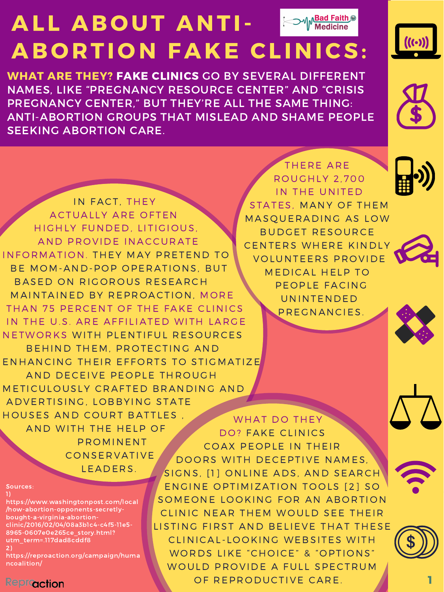THERE ARE R O UGHLY 2 , 700 IN THE UNITED STATES, MANY OF THEM MASQUERADING AS LOW BUDGET RESOURCE CENTERS WHERE KINDLY VOLUNTEERS PROVIDE MEDICAL HELP TO PEOPLE FACING UNINTENDED







### ALL ABOUT ANTI-**Bad Faith C** ABORTION FAKE CLINICS:  $\overline{\phantom{a}}$   $\overline{\phantom{a}}$   $\overline{\phantom{a}}$   $\overline{\phantom{a}}$   $\overline{\phantom{a}}$   $\overline{\phantom{a}}$   $\overline{\phantom{a}}$   $\overline{\phantom{a}}$   $\overline{\phantom{a}}$   $\overline{\phantom{a}}$   $\overline{\phantom{a}}$   $\overline{\phantom{a}}$   $\overline{\phantom{a}}$   $\overline{\phantom{a}}$   $\overline{\phantom{a}}$   $\overline{\phantom{a}}$   $\overline{\phantom{a}}$   $\overline{\phantom{a}}$   $\overline{\$



NAMES, LIKE "PREGNANCY RESOURCE CENTER" AND "CRISIS WHAT ARE THEY? FAKE CLINICS GO BY SEVERAL DIFFERENT PREGNANCY CENTER," BUT THEY'RE ALL THE SAME THING: ANTI-ABORTION GROUPS THAT MISLEAD AND SHAME PEOPLE SEEKING ABORTION CARE.



WHAT DO THEY DO? FAKE CLINICS COAX PEOPLE IN THEIR DOORS WITH DECEPTIVE NAMES, IN FACT, THEY ACTUALLY ARE OFTEN HIGHLY FUNDED, LITIGIOUS, AND PROVIDE INACCURATE INFORMATION. THEY MAY PRETEND TO BE MOM-AND-POP OPERATIONS, BUT BASED ON RIGOROUS RESEARCH MAINTAINED BY REPROACTION, MORE THAN 75 PERCENT OF THE FAKE CLINICS IN THE U.S. ARE AFFILIATED WITH LARGE NETWORKS WITH PLENTIFUL RESOURCES BEHIND THEM, PROTECTING AND ENHANCING THEIR EFFORTS TO STIGMATIZE AND DECEIVE PEOPLE THROUGH METICULOUSLY CRAFTED BRANDING AND ADVERTISING, LOBBYING STATE HOUSES AND COURT BATTLES, AND WITH THE HELP OF P R OMINENT **CONSERVATIVE** LEADERS.

Sources:

1) https://www.washingtonpost.com/local /how-abortion-opponents-secretlybought-a-virginia-abortionclinic/2016/02/04/08a3b1c4-c4f5-11e5- 8965-0607e0e265ce\_story.html? utm\_term=.117dad8cddf8 2)

https://reproaction.org/campaign/huma ncoalition/

#### **Reproaction**

PREGNANCIES.





SIGNS, [1] ONLINE ADS, AND SEARCH ENGINE OPTIMIZATION TOOLS [2] SO SOMEONE LOOKING FOR AN ABORTION CLINIC NEAR THEM WOULD SEE THEIR LISTING FIRST AND BELIEVE THAT THESE CLINICAL-LOOKING WEBSITES WITH WORDS LIKE "CHOICE" & "OPTIONS" WOULD PROVIDE A FULL SPECTRUM OF REPRODUCTIVE CARE.



1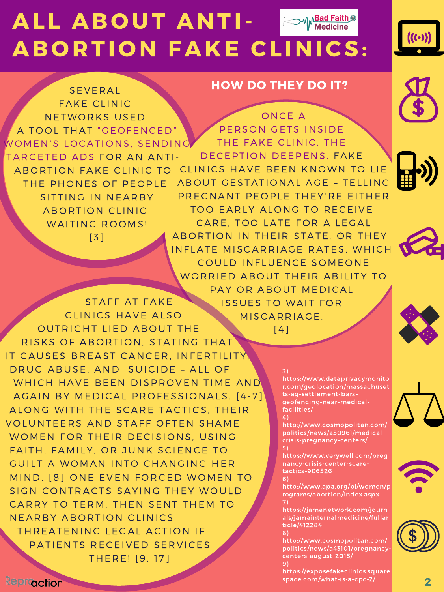

FAKE CLINIC NETWORKS USED A TOOL THAT "GEOFENCED" WOMEN'S LOCATIONS, SENDING TARGETED ADS FOR AN ANTI-A BORTION FAKE CLINIC TO THE PHONES OF PEOPLE SITTING IN NEARBY A BORTION CLINIC WAITING ROOMS!

#### 3)

https://www.dataprivacymonito r.com/geolocation/massachuset ts-ag-settlement-barsgeofencing-near-medicalfacilities/

4)

http://www.cosmopolitan.com/ politics/news/a50961/medicalcrisis-pregnancy-centers/ 5)

https://www.verywell.com/preg nancy-crisis-center-scaretactics-906526

6)

http://www.apa.org/pi/women/p rograms/abortion/index.aspx 7)

https://jamanetwork.com/journ als/jamainternalmedicine/fullar ticle/412284

8)

http://www.cosmopolitan.com/ politics/news/a43101/pregnancycenters-august-2015/ 9)

https://exposefakeclinics.square space.com/what-is-a-cpc-2/





[ 3 ]

#### SEVERAL NOW DO THEY DO IT?



STAFF AT FAKE

PAY OR ABOUT MEDICAL ISSUES TO WAIT FOR





CLINICS HAVE ALSO OUTRIGHT LIED ABOUT THE RISKS OF ABORTION, STATING THAT IT CAUSES BREAST CANCER, INFERTILITY, DRUG ABUSE, AND SUICIDE - ALL OF WHICH HAVE BEEN DISPROVEN TIME AND AGAIN BY MEDICAL PROFESSIONALS. [4-7] ALONG WITH THE SCARE TACTICS, THEIR VOLUNTEERS AND STAFF OFTEN SHAME WOMEN FOR THEIR DECISIONS, USING FAITH, FAMILY, OR JUNK SCIENCE TO GUILT A WOMAN INTO CHANGING HER MIND. [8] ONE EVEN FORCED WOMEN TO SIGN CONTRACTS SAYING THEY WOULD CARRY TO TERM, THEN SENT THEM TO NEARBY ABORTION CLINICS THREATENING LEGAL ACTION IF PATIENTS RECEIVED SERVICES THERE! [9, 17]



### MISCARRIAGE.

 $[4]$ 

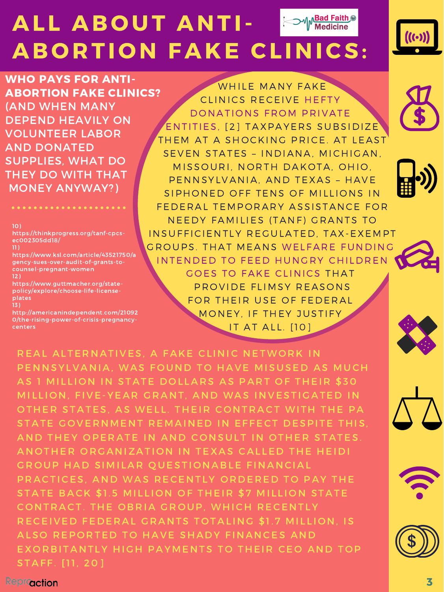

WHO PAYS FOR ANTI-ABORTION FAKE CLINICS? (AND WHEN MANY DEPEND HEAVILY ON VOLUNTEER LABOR AND DONATED SUPPLIES, WHAT DO THEY DO WITH THAT MONEY ANYWAY?)

10)

https://thinkprogress.org/tanf-cpcsec002305dd18/

11)

https://www.ksl.com/article/43521750/a gency-sues-over-audit-of-grants-tocounsel-pregnant-women 12)

https://www.guttmacher.org/statepolicy/explore/choose-life-licenseplates

WHILE MANY FAKE CLINICS RECEIVE HEFTY DONATIONS FROM PRIVATE ENTITIES, [2] TAXPAYERS SUBSIDIZE THEM AT A SHOCKING PRICE. AT LEAST SEVEN STATES - INDIANA, MICHIGAN, MISSOURI, NORTH DAKOTA, OHIO, PENNSYLVANIA, AND TEXAS - HAVE SIPHONED OFF TENS OF MILLIONS IN FEDERAL TEMPORARY ASSISTANCE FOR NEEDY FAMILIES (TANF) GRANTS TO INSUFFICIENTLY REGULATED, TAX-EXEMPT GROUPS. THAT MEANS WELFARE FUNDING INTENDED TO FEED HUNGRY CHILDREN GOES TO FAKE CLINICS THAT P R O VIDE FLIMSY REASONS FOR THEIR USE OF FEDERAL





13)

http://americanindependent.com/21092 0/the-rising-power-of-crisis-pregnancycenters

#### MONEY, IF THEY JUSTIFY IT AT ALL. [10]



REAL ALTERNATIVES, A FAKE CLINIC NETWORK IN PENNSYLVANIA, WAS FOUND TO HAVE MISUSED AS MUCH AS 1 MILLION IN STATE DOLLARS AS PART OF THEIR \$30 MILLION, FIVE-YEAR GRANT, AND WAS INVESTIGATED IN OTHER STATES, AS WELL. THEIR CONTRACT WITH THE PA STATE GOVERNMENT REMAINED IN EFFECT DESPITE THIS, AND THEY OPERATE IN AND CONSULT IN OTHER STATES. ANOTHER ORGANIZATION IN TEXAS CALLED THE HEIDI GROUP HAD SIMILAR QUESTIONABLE FINANCIAL PRACTICES, AND WAS RECENTLY ORDERED TO PAY THE STATE BACK \$1.5 MILLION OF THEIR \$7 MILLION STATE CONTRACT. THE OBRIA GROUP, WHICH RECENTLY RECEIVED FEDERAL GRANTS TOTALING \$1.7 MILLION, IS ALSO REPORTED TO HAVE SHADY FINANCES AND EXORBITANTLY HIGH PAYMENTS TO THEIR CEO AND TOP STAFF. [11, 20]

**Reproaction**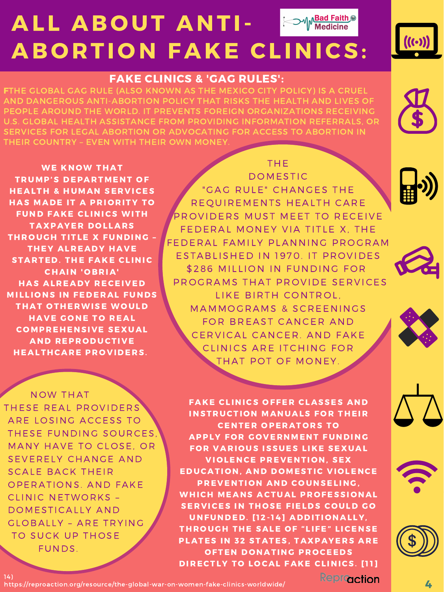https://reproaction.org/resource/the-global-war-on-women-fake-clinics-worldwide/

#### THE

**DOMESTIC** "GAG RULE" CHANGES THE R E QUIREMENTS HEALTH CARE PROVIDERS MUST MEET TO RECEIVE FEDERAL MONEY VIA TITLE X, THE FEDERAL FAMILY PLANNING PROGRAM ESTABLISHED IN 1970. IT PROVIDES \$286 MILLION IN FUNDING FOR PROGRAMS THAT PROVIDE SERVICES LIKE BIRTH CONTROL. MAMMOGRAMS & SCREENINGS FOR BREAST CANCER AND CERVICAL CANCER. AND FAKE CLINICS ARE ITCHING FOR THAT POT OF MONEY.

FAKE CLINICS OFFER CLASSES AND

INSTRUCTION MANUALS FOR THEIR

**CENTER OPERATORS TO** 

APPLY FOR GOVERNMENT FUNDING

FOR VARIOUS ISSUES LIKE SEXUAL

VIOLENCE PREVENTION, SEX

EDUCATION, AND DOMESTIC VIOLENCE

PREVENTION AND COUNSELING,

WHICH MEANS ACTUAL PROFESSIONAL

SERVICES IN THOSE FIELDS COULD GO

UNFUNDED. [12-14] ADDITIONALLY,

THROUGH THE SALE OF "LIFE" LICENSE

PLATES IN 32 STATES, TAXPAYERS ARE

OFTEN DONATING PROCEEDS

DIRECTLY TO LOCAL FAKE CLINICS. [11]

Reproaction





NOW THAT THESE REAL PROVIDERS ARE LOSING ACCESS TO THESE FUNDING SOURCES, MANY HAVE TO CLOSE, OR SEVERELY CHANGE AND SCALE BACK THEIR OPERATIONS. AND FAKE CLINIC NETWORKS -DOMESTICALLY AND GLOBALLY - ARE TRYING TO SUCK UP THOSE FUNDS.









## ALL ABOUT ANTI-ABORTION FAKE CLINICS:



#### FAKE CLINICS & 'GAG RULES':

FTHE GLOBAL GAG RULE (ALSO KNOWN AS THE MEXICO CITY POLICY) IS A CRUEL AND DANGEROUS ANTI-ABORTION POLICY THAT RISKS THE HEALTH AND LIVES OF PEOPLE AROUND THE WORLD. IT PREVENTS FOREIGN ORGANIZATIONS RECEIVING U.S. GLOBAL HEALTH ASSISTANCE FROM PROVIDING INFORMATION REFERRALS, OR SERVICES FOR LEGAL ABORTION OR ADVOCATING FOR ACCESS TO ABORTION IN THEIR COUNTRY – EVEN WITH THEIR OWN MONEY.



WE KNOW THAT TRUMP'S DEPARTMENT OF **HEALTH & HUMAN SERVICES** HAS MADE IT A PRIORITY TO FUND FAKE CLINICS WITH TAXPAYER DOLLARS THROUGH TITLE X FUNDING -THEY ALREADY HAVE STARTED. THE FAKE CLINIC **CHAIN 'OBRIA' HAS ALREADY RECEIVED MILLIONS IN FEDERAL FUNDS** THAT OTHERWISE WOULD HAVE GONE TO REAL **COMPREHENSIVE SEXUAL AND REPRODUCTIVE** HEALTHCARE PROVIDERS.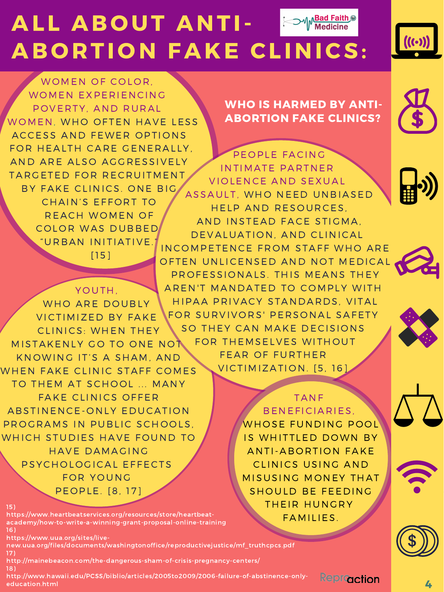WOMEN OF COLOR, WOMEN EXPERIENCING POVERTY, AND RURAL WOMEN, WHO OFTEN HAVE LESS ACCESS AND FEWER OPTIONS FOR HEALTH CARE GENERALLY, AND ARE ALSO AGGRESSIVELY TARGETED FOR RECRUITMENT BY FAKE CLINICS. ONE BIG. CHAIN'S EFFORT TO REACH WOMEN OF COLOR WAS DUBBED "URBAN INITIATIVE.  $[1 5]$ 

> YOUTH, WHO ARE DOUBLY

15)

https://www.heartbeatservices.org/resources/store/heartbeatacademy/how-to-write-a-winning-grant-proposal-online-training 16)

https://www.uua.org/sites/live-

new.uua.org/files/documents/washingtonoffice/reproductivejustice/mf\_truthcpcs.pdf 17)

http://mainebeacon.com/the-dangerous-sham-of-crisis-pregnancy-centers/ 18)

http://www.hawaii.edu/PCSS/biblio/articles/2005to2009/2006-failure-of-abstinence-onlyeducation.html

FOR SURVIVORS' PERSONAL SAFETY SO THEY CAN MAKE DECISIONS FOR THEMSELVES WITHOUT FEAR OF FURTHER VICTIMIZATION. [5, 16]

WHO IS HARMED BY ANTI-ABORTION FAKE CLINICS?





Repraction













PROFESSIONALS. THIS MEANS THEY AREN'T MANDATED TO COMPLY WITH HIPAA PRIVACY STANDARDS, VITAL

VICTIMIZED BY FAKE CLINICS: WHEN THEY MISTAKENLY GO TO ONE NOT KNOWING IT'S A SHAM, AND WHEN FAKE CLINIC STAFF COMES TO THEM AT SCHOOL ... MANY FAKE CLINICS OFFER A B STINENCE - ONLY EDUCATION PROGRAMS IN PUBLIC SCHOOLS, WHICH STUDIES HAVE FOUND TO HA VE DAMAGING PSYCHOLOGICAL EFFECTS FOR YOUNG PE O PLE. [8, 17]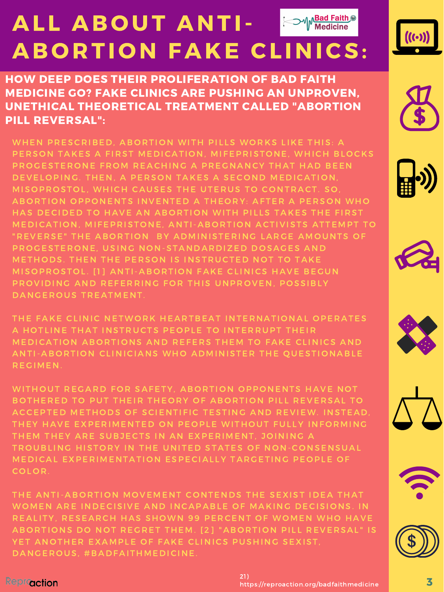

HOW DEEP DOES THEIR PROLIFERATION OF BAD FAITH MEDICINE GO? FAKE CLINICS ARE PUSHING AN UNPROVEN, UNETHICAL THEORETICAL TREATMENT CALLED "ABORTION PILL REVERSAL":

WHEN PRESCRIBED, ABORTION WITH PILLS WORKS LIKE THIS: A PERSON TAKES A FIRST MEDICATION, MIFEPRISTONE, WHICH BLOCKS PROGESTERONE FROM REACHING A PREGNANCY THAT HAD BEEN DEVELOPING. THEN, A PERSON TAKES A SECOND MEDICATION, MISOPROSTOL, WHICH CAUSES THE UTERUS TO CONTRACT. SO, A BORTION OPPONENTS INVENTED A THEORY: AFTER A PERSON WHO HAS DECIDED TO HAVE AN ABORTION WITH PILLS TAKES THE FIRST MEDICATION, MIFEPRISTONE, ANTI-ABORTION ACTIVISTS ATTEMPT TO "REVERSE" THE ABORTION BY ADMINISTERING LARGE AMOUNTS OF PROGESTERONE, USING NON-STANDARDIZED DOSAGES AND METHODS. THEN THE PERSON IS INSTRUCTED NOT TO TAKE MISOPROSTOL. [1] ANTI-ABORTION FAKE CLINICS HAVE BEGUN PROVIDING AND REFERRING FOR THIS UNPROVEN, POSSIBLY DANGEROUS TREATMENT.







THE FAKE CLINIC NETWORK HEARTBEAT INTERNATIONAL OPERATES A HOTLINE THAT INSTRUCTS PEOPLE TO INTERRUPT THEIR MEDICATION ABORTIONS AND REFERS THEM TO FAKE CLINICS AND ANTI-ABORTION CLINICIANS WHO ADMINISTER THE QUESTIONABLE R E G IMEN.

WITHOUT REGARD FOR SAFETY, ABORTION OPPONENTS HAVE NOT BOTHERED TO PUT THEIR THEORY OF ABORTION PILL REVERSAL TO ACCEPTED METHODS OF SCIENTIFIC TESTING AND REVIEW. INSTEAD, THEY HAVE EXPERIMENTED ON PEOPLE WITHOUT FULLY INFORMING THEM THEY ARE SUBJECTS IN AN EXPERIMENT, JOINING A TROUBLING HISTORY IN THE UNITED STATES OF NON-CONSENSUAL MEDICAL EXPERIMENTATION ESPECIALLY TARGETING PEOPLE OF COLOR.

THE ANTI-ABORTION MOVEMENT CONTENDS THE SEXIST IDEA THAT WOMEN ARE INDECISIVE AND INCAPABLE OF MAKING DECISIONS. IN REALITY, RESEARCH HAS SHOWN 99 PERCENT OF WOMEN WHO HAVE A BORTIONS DO NOT REGRET THEM. [2] "A BORTION PILL REVERSAL" IS YET ANOTHER EXAMPLE OF FAKE CLINICS PUSHING SEXIST, DANGEROUS, #BADFAITHMEDICINE.